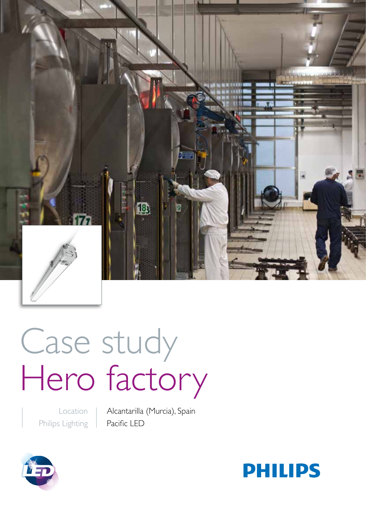

# Case study Hero factory

Location Philips Lighting Alcantarilla (Murcia), Spain Pacific LED



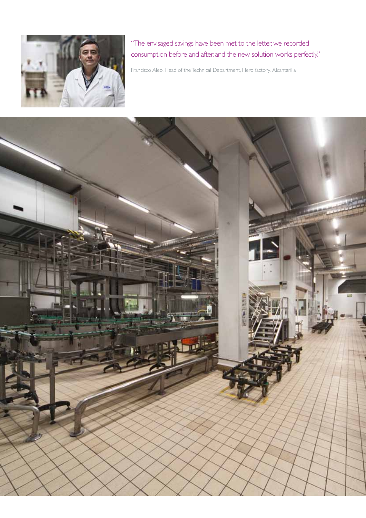

"The envisaged savings have been met to the letter, we recorded consumption before and after, and the new solution works perfectly."

Francisco Aleo, Head of the Technical Department, Hero factory, Alcantarilla

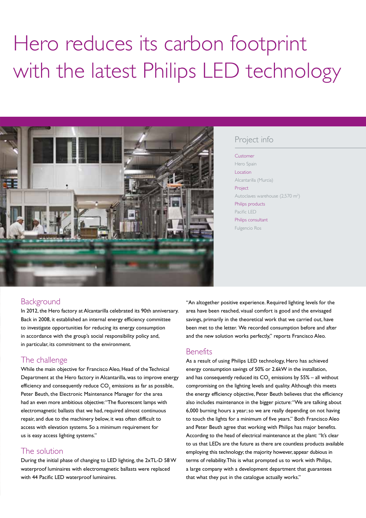# Hero reduces its carbon footprint with the latest Philips LED technology



#### Project info

Customer Hero Spain Location Alcantarilla (Murcia) Project Autoclaves warehouse (2,570 m<sup>2</sup>) Philips products Pacific LED Philips consultant Fulgencio Ros

#### **Background**

In 2012, the Hero factory at Alcantarilla celebrated its 90th anniversary. Back in 2008, it established an internal energy efficiency committee to investigate opportunities for reducing its energy consumption in accordance with the group's social responsibility policy and, in particular, its commitment to the environment.

# The challenge

While the main objective for Francisco Aleo, Head of the Technical Department at the Hero factory in Alcantarilla, was to improve energy efficiency and consequently reduce  $\mathsf{CO}_2$  emissions as far as possible, Peter Beuth, the Electronic Maintenance Manager for the area had an even more ambitious objective: "The fluorescent lamps with electromagnetic ballasts that we had, required almost continuous repair, and due to the machinery below, it was often difficult to access with elevation systems. So a minimum requirement for us is easy access lighting systems."

# The solution

During the initial phase of changing to LED lighting, the 2xTL-D 58 W waterproof luminaires with electromagnetic ballasts were replaced with 44 Pacific LED waterproof luminaires.

"An altogether positive experience. Required lighting levels for the area have been reached, visual comfort is good and the envisaged savings, primarily in the theoretical work that we carried out, have been met to the letter. We recorded consumption before and after and the new solution works perfectly," reports Francisco Aleo.

# **Benefits**

As a result of using Philips LED technology, Hero has achieved energy consumption savings of 50% or 2.6kW in the installation, and has consequently reduced its  $\mathsf{CO}_2$  emissions by 55% – all without compromising on the lighting levels and quality. Although this meets the energy efficiency objective, Peter Beuth believes that the efficiency also includes maintenance in the bigger picture: "We are talking about 6,000 burning hours a year; so we are really depending on not having to touch the lights for a minimum of five years." Both Francisco Aleo and Peter Beuth agree that working with Philips has major benefits. According to the head of electrical maintenance at the plant: "It's clear to us that LEDs are the future as there are countless products available employing this technology; the majority however, appear dubious in terms of reliability. This is what prompted us to work with Philips, a large company with a development department that guarantees that what they put in the catalogue actually works."